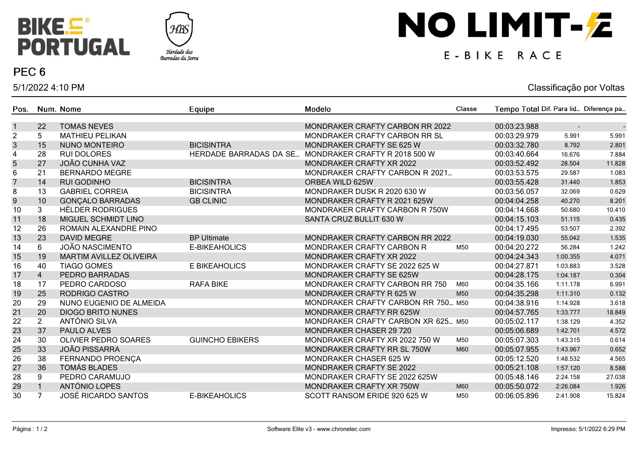



### PEC<sub>6</sub>

5/1/2022 4:10 PM

# NO LIMIT-Z

## E-BIKE RACE

#### Classificação por Voltas

| Pos.             |                | Num. Nome                      | Equipe                        | Modelo                             | Classe | Tempo Total Dif. Para lid Diferença pa |          |        |
|------------------|----------------|--------------------------------|-------------------------------|------------------------------------|--------|----------------------------------------|----------|--------|
| $\mathbf{1}$     | 22             | <b>TOMAS NEVES</b>             |                               | MONDRAKER CRAFTY CARBON RR 2022    |        | 00:03:23.988                           |          |        |
| $\overline{c}$   | 5              | <b>MATHIEU PELIKAN</b>         |                               | MONDRAKER CRAFTY CARBON RR SL      |        | 00:03:29.979                           | 5.991    | 5.991  |
| $\mathbf{3}$     | 15             | <b>NUNO MONTEIRO</b>           | <b>BICISINTRA</b>             | <b>MONDRAKER CRAFTY SE 625 W</b>   |        | 00:03:32.780                           | 8.792    | 2.801  |
| 4                | 28             | <b>RUI DOLORES</b>             | <b>HERDADE BARRADAS DA SE</b> | MONDRAKER CRAFTY R 2018 500 W      |        | 00:03:40.664                           | 16.676   | 7.884  |
| 5                | 27             | <b>JOÃO CUNHA VAZ</b>          |                               | MONDRAKER CRAFTY XR 2022           |        | 00:03:52.492                           | 28.504   | 11.828 |
| 6                | 21             | <b>BERNARDO MEGRE</b>          |                               | MONDRAKER CRAFTY CARBON R 2021     |        | 00:03:53.575                           | 29.587   | 1.083  |
| $\overline{7}$   | 14             | <b>RUI GODINHO</b>             | <b>BICISINTRA</b>             | ORBEA WILD 625W                    |        | 00:03:55.428                           | 31.440   | 1.853  |
| 8                | 13             | <b>GABRIEL CORREIA</b>         | <b>BICISINTRA</b>             | MONDRAKER DUSK R 2020 630 W        |        | 00:03:56.057                           | 32.069   | 0.629  |
| $\boldsymbol{9}$ | 10             | <b>GONÇALO BARRADAS</b>        | <b>GB CLINIC</b>              | MONDRAKER CRAFTY R 2021 625W       |        | 00:04:04.258                           | 40.270   | 8.201  |
| 10               | 3              | <b>HÉLDER RODRIGUES</b>        |                               | MONDRAKER CRAFTY CARBON R 750W     |        | 00:04:14.668                           | 50.680   | 10.410 |
| 11               | 18             | MIGUEL SCHMIDT LINO            |                               | SANTA CRUZ BULLIT 630 W            |        | 00:04:15.103                           | 51.115   | 0.435  |
| 12               | 26             | ROMAIN ALEXANDRE PINO          |                               |                                    |        | 00:04:17.495                           | 53.507   | 2.392  |
| 13               | 23             | <b>DAVID MEGRE</b>             | <b>BP Ultimate</b>            | MONDRAKER CRAFTY CARBON RR 2022    |        | 00:04:19.030                           | 55.042   | 1.535  |
| 14               | 6              | JOÃO NASCIMENTO                | E-BIKEAHOLICS                 | <b>MONDRAKER CRAFTY CARBON R</b>   | M50    | 00:04:20.272                           | 56.284   | 1.242  |
| 15               | 19             | <b>MARTIM AVILLEZ OLIVEIRA</b> |                               | MONDRAKER CRAFTY XR 2022           |        | 00:04:24.343                           | 1:00.355 | 4.071  |
| 16               | 40             | <b>TIAGO GOMES</b>             | E BIKEAHOLICS                 | MONDRAKER CRAFTY SE 2022 625 W     |        | 00:04:27.871                           | 1:03.883 | 3.528  |
| 17               | $\overline{4}$ | PEDRO BARRADAS                 |                               | MONDRAKER CRAFTY SE 625W           |        | 00:04:28.175                           | 1:04.187 | 0.304  |
| 18               | 17             | PEDRO CARDOSO                  | <b>RAFA BIKE</b>              | MONDRAKER CRAFTY CARBON RR 750     | M60    | 00:04:35.166                           | 1:11.178 | 6.991  |
| 19               | 25             | RODRIGO CASTRO                 |                               | <b>MONDRAKER CRAFTY R 625 W</b>    | M50    | 00:04:35.298                           | 1:11.310 | 0.132  |
| 20               | 29             | NUNO EUGENIO DE ALMEIDA        |                               | MONDRAKER CRAFTY CARBON RR 750 M50 |        | 00:04:38.916                           | 1:14.928 | 3.618  |
| 21               | 20             | <b>DIOGO BRITO NUNES</b>       |                               | <b>MONDRAKER CRAFTY RR 625W</b>    |        | 00:04:57.765                           | 1:33.777 | 18.849 |
| 22               | $\overline{2}$ | ANTÓNIO SILVA                  |                               | MONDRAKER CRAFTY CARBON XR 625 M50 |        | 00:05:02.117                           | 1:38.129 | 4.352  |
| 23               | 37             | <b>PAULO ALVES</b>             |                               | <b>MONDRAKER CHASER 29 720</b>     |        | 00:05:06.689                           | 1:42.701 | 4.572  |
| 24               | 30             | <b>OLIVIER PEDRO SOARES</b>    | <b>GUINCHO EBIKERS</b>        | MONDRAKER CRAFTY XR 2022 750 W     | M50    | 00:05:07.303                           | 1:43.315 | 0.614  |
| 25               | 33             | <b>JOÃO PISSARRA</b>           |                               | MONDRAKER CRAFTY RR SL 750W        | M60    | 00:05:07.955                           | 1:43.967 | 0.652  |
| 26               | 38             | FERNANDO PROENÇA               |                               | MONDRAKER CHASER 625 W             |        | 00:05:12.520                           | 1:48.532 | 4.565  |
| 27               | 36             | <b>TOMÁS BLADES</b>            |                               | MONDRAKER CRAFTY SE 2022           |        | 00:05:21.108                           | 1:57.120 | 8.588  |
| 28               | 9              | PEDRO CARAMUJO                 |                               | MONDRAKER CRAFTY SE 2022 625W      |        | 00:05:48.146                           | 2:24.158 | 27.038 |
| 29               |                | ANTÓNIO LOPES                  |                               | MONDRAKER CRAFTY XR 750W           | M60    | 00:05:50.072                           | 2:26.084 | 1.926  |
| 30               | $\overline{7}$ | <b>JOSÉ RICARDO SANTOS</b>     | E-BIKEAHOLICS                 | SCOTT RANSOM ERIDE 920 625 W       | M50    | 00:06:05.896                           | 2:41.908 | 15.824 |